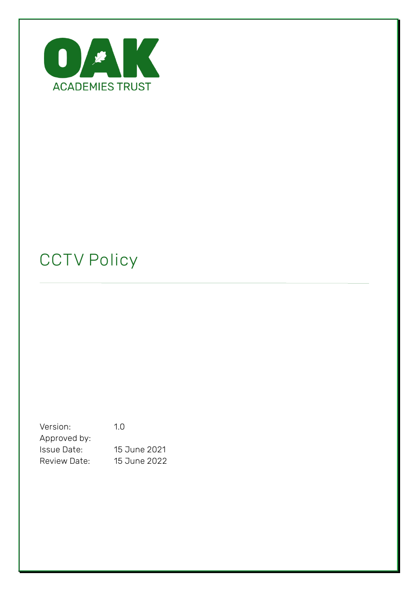

# **CCTV Policy**

Version: 1.0 Approved by: Issue Date: 15 June 2021 Review Date: 15 June 2022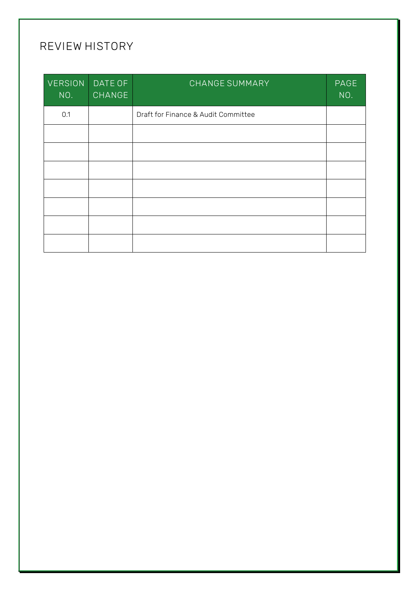# **REVIEW HISTORY**

| <b>VERSION</b><br>NO. | DATE OF<br>CHANGE | CHANGE SUMMARY                      | PAGE<br>NO. |
|-----------------------|-------------------|-------------------------------------|-------------|
| 0.1                   |                   | Draft for Finance & Audit Committee |             |
|                       |                   |                                     |             |
|                       |                   |                                     |             |
|                       |                   |                                     |             |
|                       |                   |                                     |             |
|                       |                   |                                     |             |
|                       |                   |                                     |             |
|                       |                   |                                     |             |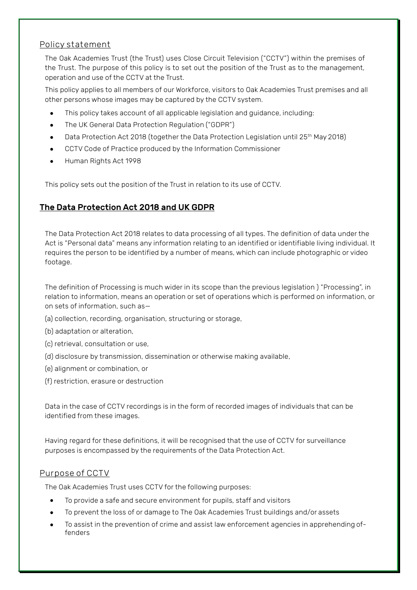#### **Policy statement**

The Oak Academies Trust (the Trust) uses Close Circuit Television ("CCTV") within the premises of the Trust. The purpose of this policy is to set out the position of the Trust as to the management, operation and use of the CCTV at the Trust.

This policy applies to all members of our Workforce, visitors to Oak Academies Trust premises and all other persons whose images may be captured by the CCTV system.

- This policy takes account of all applicable legislation and guidance, including:
- The UK General Data Protection Regulation ("GDPR")
- Data Protection Act 2018 (together the Data Protection Legislation until 25th May 2018)
- CCTV Code of Practice produced by the Information Commissioner
- Human Rights Act 1998

This policy sets out the position of the Trust in relation to its use of CCTV.

# The Data Protection Act 2018 and UK GDPR

The Data Protection Act 2018 relates to data processing of all types. The definition of data under the Act is "Personal data" means any information relating to an identified or identifiable living individual. It requires the person to be identified by a number of means, which can include photographic or video footage.

The definition of Processing is much wider in its scope than the previous legislation ) "Processing", in relation to information, means an operation or set of operations which is performed on information, or on sets of information, such as—

- (a) collection, recording, organisation, structuring or storage,
- (b) adaptation or alteration,
- (c) retrieval, consultation or use,
- (d) disclosure by transmission, dissemination or otherwise making available,
- (e) alignment or combination, or
- (f) restriction, erasure or destruction

Data in the case of CCTV recordings is in the form of recorded images of individuals that can be identified from these images.

Having regard for these definitions, it will be recognised that the use of CCTV for surveillance purposes is encompassed by the requirements of the Data Protection Act.

#### **Purpose of CCTV**

The Oak Academies Trust uses CCTV for the following purposes:

- To provide a safe and secure environment for pupils, staff and visitors
- To prevent the loss of or damage to The Oak Academies Trust buildings and/or assets
- To assist in the prevention of crime and assist law enforcement agencies in apprehending offenders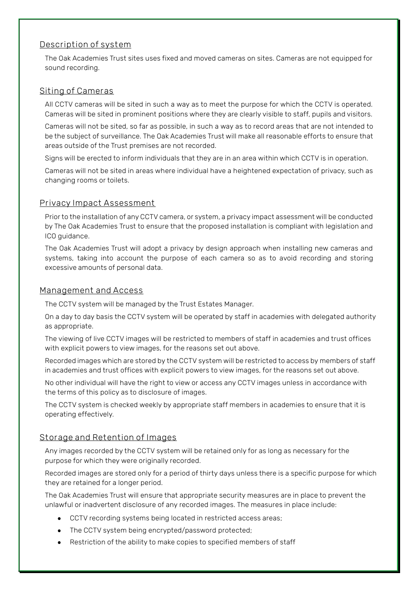## **Description of system**

The Oak Academies Trust sites uses fixed and moved cameras on sites. Cameras are not equipped for sound recording.

#### **Siting of Cameras**

All CCTV cameras will be sited in such a way as to meet the purpose for which the CCTV is operated. Cameras will be sited in prominent positions where they are clearly visible to staff, pupils and visitors.

Cameras will not be sited, so far as possible, in such a way as to record areas that are not intended to be the subject of surveillance. The Oak Academies Trust will make all reasonable efforts to ensure that areas outside of the Trust premises are not recorded.

Signs will be erected to inform individuals that they are in an area within which CCTV is in operation.

Cameras will not be sited in areas where individual have a heightened expectation of privacy, such as changing rooms or toilets.

#### **Privacy Impact Assessment**

Prior to the installation of any CCTV camera, or system, a privacy impact assessment will be conducted by The Oak Academies Trust to ensure that the proposed installation is compliant with legislation and ICO guidance.

The Oak Academies Trust will adopt a privacy by design approach when installing new cameras and systems, taking into account the purpose of each camera so as to avoid recording and storing excessive amounts of personal data.

#### **Management and Access**

The CCTV system will be managed by the Trust Estates Manager.

On a day to day basis the CCTV system will be operated by staff in academies with delegated authority as appropriate.

The viewing of live CCTV images will be restricted to members of staff in academies and trust offices with explicit powers to view images, for the reasons set out above.

Recorded images which are stored by the CCTV system will be restricted to access by members of staff in academies and trust offices with explicit powers to view images, for the reasons set out above.

No other individual will have the right to view or access any CCTV images unless in accordance with the terms of this policy as to disclosure of images.

The CCTV system is checked weekly by appropriate staff members in academies to ensure that it is operating effectively.

#### **Storage and Retention of Images**

Any images recorded by the CCTV system will be retained only for as long as necessary for the purpose for which they were originally recorded.

Recorded images are stored only for a period of thirty days unless there is a specific purpose for which they are retained for a longer period.

The Oak Academies Trust will ensure that appropriate security measures are in place to prevent the unlawful or inadvertent disclosure of any recorded images. The measures in place include:

- CCTV recording systems being located in restricted access areas;
- The CCTV system being encrypted/password protected;
- Restriction of the ability to make copies to specified members of staff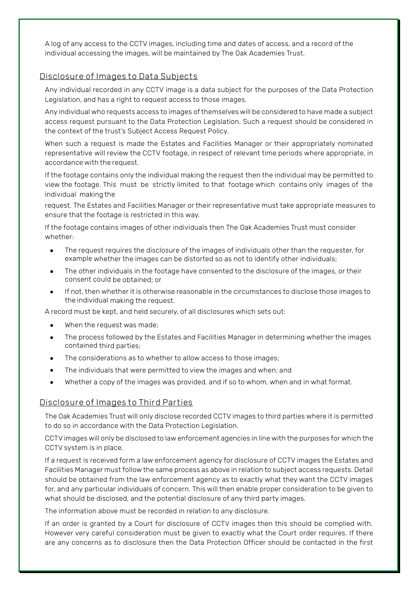A log of any access to the CCTV images, including time and dates of access, and a record of the individual accessing the images, will be maintained by The Oak Academies Trust.

#### **Disclosure of Images to Data Subjects**

Any individual recorded in any CCTV image is a data subject for the purposes of the Data Protection Legislation, and has a right to request access to those images.

Any individual who requests access to images of themselves will be considered to have made a subject access request pursuant to the Data Protection Legislation. Such a request should be considered in the context of the trust's Subject Access Request Policy.

When such a request is made the Estates and Facilities Manager or their appropriately nominated representative will review the CCTV footage, in respect of relevant time periods where appropriate, in accordance with the request.

If the footage contains only the individual making the request then the individual may be permitted to view the footage. This must be strictly limited to that footage which contains only images of the individual makingthe

request. The Estates and Facilities Manager or their representative must take appropriate measures to ensure that the footage is restricted in this way.

If the footage contains images of other individuals then The Oak Academies Trust must consider whether:

- The request requires the disclosure of the images of individuals other than the requester, for example whether the images can be distorted so as not to identify other individuals;
- The other individuals in the footage have consented to the disclosure of the images, or their consent could be obtained; or
- If not, then whether it is otherwise reasonable in the circumstances to disclose those images to the individual making the request.

A record must be kept, and held securely, of all disclosures which sets out:

- When the request was made;
- The process followed by the Estates and Facilities Manager in determining whether the images contained third parties;
- The considerations as to whether to allow access to those images;
- The individuals that were permitted to view the images and when; and
- Whether a copy of the images was provided, and if so to whom, when and in what format.

# **Disclosure of Images to Third Parties**

The Oak Academies Trust will only disclose recorded CCTV images to third parties where it is permitted to do so in accordance with the Data Protection Legislation.

CCTV images will only be disclosed to law enforcement agencies in line with the purposes for which the CCTV system is in place.

If a request is received form a law enforcement agency for disclosure of CCTV images the Estates and Facilities Manager must follow the same process as above in relation to subject access requests. Detail should be obtained from the law enforcement agency as to exactly what they want the CCTV images for, and any particular individuals of concern. This will then enable proper consideration to be given to what should be disclosed, and the potential disclosure of any third party images.

The information above must be recorded in relation to any disclosure.

If an order is granted by a Court for disclosure of CCTV images then this should be complied with. However very careful consideration must be given to exactly what the Court order requires. If there are any concerns as to disclosure then the Data Protection Officer should be contacted in the first